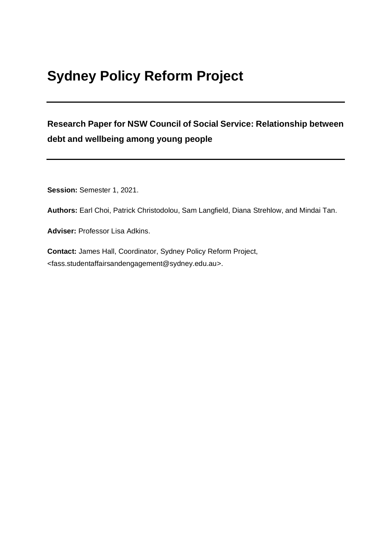# **Sydney Policy Reform Project**

# **Research Paper for NSW Council of Social Service: Relationship between debt and wellbeing among young people**

**Session:** Semester 1, 2021.

**Authors:** Earl Choi, Patrick Christodolou, Sam Langfield, Diana Strehlow, and Mindai Tan.

**Adviser:** Professor Lisa Adkins.

**Contact:** James Hall, Coordinator, Sydney Policy Reform Project, <fass.studentaffairsandengagement@sydney.edu.au>.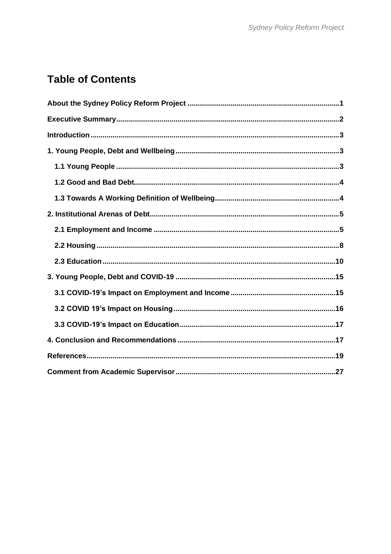# **Table of Contents**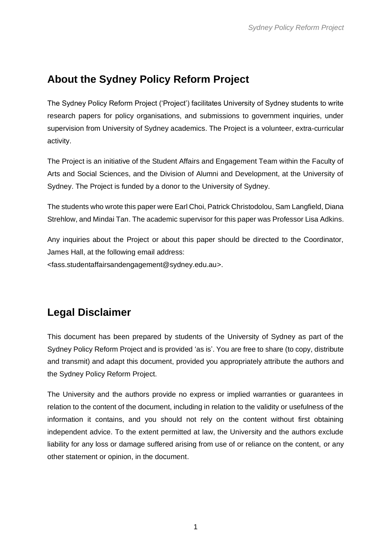# <span id="page-2-0"></span>**About the Sydney Policy Reform Project**

The Sydney Policy Reform Project ('Project') facilitates University of Sydney students to write research papers for policy organisations, and submissions to government inquiries, under supervision from University of Sydney academics. The Project is a volunteer, extra-curricular activity.

The Project is an initiative of the Student Affairs and Engagement Team within the Faculty of Arts and Social Sciences, and the Division of Alumni and Development, at the University of Sydney. The Project is funded by a donor to the University of Sydney.

The students who wrote this paper were Earl Choi, Patrick Christodolou, Sam Langfield, Diana Strehlow, and Mindai Tan. The academic supervisor for this paper was Professor Lisa Adkins.

Any inquiries about the Project or about this paper should be directed to the Coordinator, James Hall, at the following email address:

<fass.studentaffairsandengagement@sydney.edu.au>.

## **Legal Disclaimer**

This document has been prepared by students of the University of Sydney as part of the Sydney Policy Reform Project and is provided 'as is'. You are free to share (to copy, distribute and transmit) and adapt this document, provided you appropriately attribute the authors and the Sydney Policy Reform Project.

The University and the authors provide no express or implied warranties or guarantees in relation to the content of the document, including in relation to the validity or usefulness of the information it contains, and you should not rely on the content without first obtaining independent advice. To the extent permitted at law, the University and the authors exclude liability for any loss or damage suffered arising from use of or reliance on the content, or any other statement or opinion, in the document.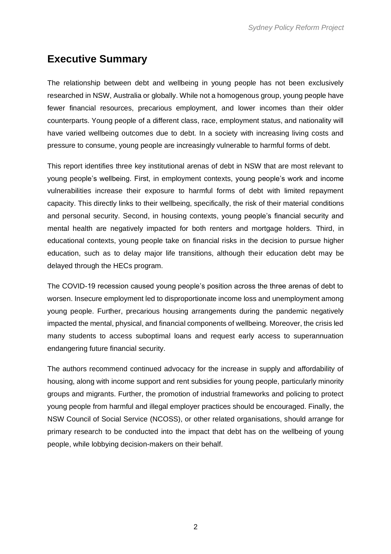## <span id="page-3-0"></span>**Executive Summary**

The relationship between debt and wellbeing in young people has not been exclusively researched in NSW, Australia or globally. While not a homogenous group, young people have fewer financial resources, precarious employment, and lower incomes than their older counterparts. Young people of a different class, race, employment status, and nationality will have varied wellbeing outcomes due to debt. In a society with increasing living costs and pressure to consume, young people are increasingly vulnerable to harmful forms of debt.

This report identifies three key institutional arenas of debt in NSW that are most relevant to young people's wellbeing. First, in employment contexts, young people's work and income vulnerabilities increase their exposure to harmful forms of debt with limited repayment capacity. This directly links to their wellbeing, specifically, the risk of their material conditions and personal security. Second, in housing contexts, young people's financial security and mental health are negatively impacted for both renters and mortgage holders. Third, in educational contexts, young people take on financial risks in the decision to pursue higher education, such as to delay major life transitions, although their education debt may be delayed through the HECs program.

The COVID-19 recession caused young people's position across the three arenas of debt to worsen. Insecure employment led to disproportionate income loss and unemployment among young people. Further, precarious housing arrangements during the pandemic negatively impacted the mental, physical, and financial components of wellbeing. Moreover, the crisis led many students to access suboptimal loans and request early access to superannuation endangering future financial security.

The authors recommend continued advocacy for the increase in supply and affordability of housing, along with income support and rent subsidies for young people, particularly minority groups and migrants. Further, the promotion of industrial frameworks and policing to protect young people from harmful and illegal employer practices should be encouraged. Finally, the NSW Council of Social Service (NCOSS), or other related organisations, should arrange for primary research to be conducted into the impact that debt has on the wellbeing of young people, while lobbying decision-makers on their behalf.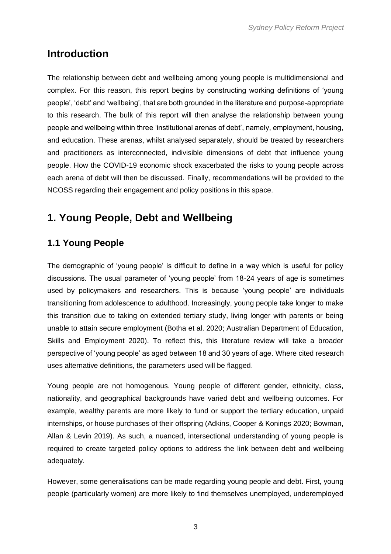## <span id="page-4-0"></span>**Introduction**

The relationship between debt and wellbeing among young people is multidimensional and complex. For this reason, this report begins by constructing working definitions of 'young people', 'debt' and 'wellbeing', that are both grounded in the literature and purpose-appropriate to this research. The bulk of this report will then analyse the relationship between young people and wellbeing within three 'institutional arenas of debt', namely, employment, housing, and education. These arenas, whilst analysed separately, should be treated by researchers and practitioners as interconnected, indivisible dimensions of debt that influence young people. How the COVID-19 economic shock exacerbated the risks to young people across each arena of debt will then be discussed. Finally, recommendations will be provided to the NCOSS regarding their engagement and policy positions in this space.

# <span id="page-4-1"></span>**1. Young People, Debt and Wellbeing**

## <span id="page-4-2"></span>**1.1 Young People**

The demographic of 'young people' is difficult to define in a way which is useful for policy discussions. The usual parameter of 'young people' from 18-24 years of age is sometimes used by policymakers and researchers. This is because 'young people' are individuals transitioning from adolescence to adulthood. Increasingly, young people take longer to make this transition due to taking on extended tertiary study, living longer with parents or being unable to attain secure employment (Botha et al. 2020; Australian Department of Education, Skills and Employment 2020). To reflect this, this literature review will take a broader perspective of 'young people' as aged between 18 and 30 years of age. Where cited research uses alternative definitions, the parameters used will be flagged.

Young people are not homogenous. Young people of different gender, ethnicity, class, nationality, and geographical backgrounds have varied debt and wellbeing outcomes. For example, wealthy parents are more likely to fund or support the tertiary education, unpaid internships, or house purchases of their offspring (Adkins, Cooper & Konings 2020; Bowman, Allan & Levin 2019). As such, a nuanced, intersectional understanding of young people is required to create targeted policy options to address the link between debt and wellbeing adequately.

However, some generalisations can be made regarding young people and debt. First, young people (particularly women) are more likely to find themselves unemployed, underemployed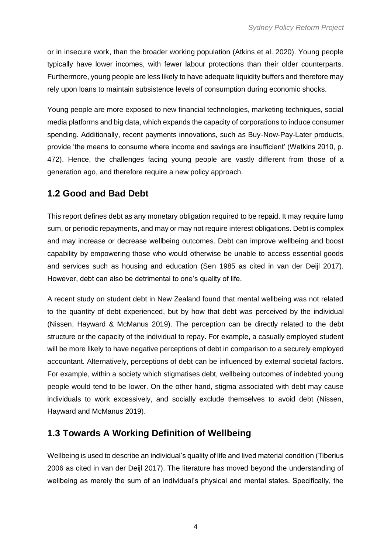or in insecure work, than the broader working population (Atkins et al. 2020). Young people typically have lower incomes, with fewer labour protections than their older counterparts. Furthermore, young people are less likely to have adequate liquidity buffers and therefore may rely upon loans to maintain subsistence levels of consumption during economic shocks.

Young people are more exposed to new financial technologies, marketing techniques, social media platforms and big data, which expands the capacity of corporations to induce consumer spending. Additionally, recent payments innovations, such as Buy-Now-Pay-Later products, provide 'the means to consume where income and savings are insufficient' (Watkins 2010, p. 472). Hence, the challenges facing young people are vastly different from those of a generation ago, and therefore require a new policy approach.

### <span id="page-5-0"></span>**1.2 Good and Bad Debt**

This report defines debt as any monetary obligation required to be repaid. It may require lump sum, or periodic repayments, and may or may not require interest obligations. Debt is complex and may increase or decrease wellbeing outcomes. Debt can improve wellbeing and boost capability by empowering those who would otherwise be unable to access essential goods and services such as housing and education (Sen 1985 as cited in van der Deijl 2017). However, debt can also be detrimental to one's quality of life.

A recent study on student debt in New Zealand found that mental wellbeing was not related to the quantity of debt experienced, but by how that debt was perceived by the individual (Nissen, Hayward & McManus 2019). The perception can be directly related to the debt structure or the capacity of the individual to repay. For example, a casually employed student will be more likely to have negative perceptions of debt in comparison to a securely employed accountant. Alternatively, perceptions of debt can be influenced by external societal factors. For example, within a society which stigmatises debt, wellbeing outcomes of indebted young people would tend to be lower. On the other hand, stigma associated with debt may cause individuals to work excessively, and socially exclude themselves to avoid debt (Nissen, Hayward and McManus 2019).

## <span id="page-5-1"></span>**1.3 Towards A Working Definition of Wellbeing**

Wellbeing is used to describe an individual's quality of life and lived material condition (Tiberius 2006 as cited in van der Deijl 2017). The literature has moved beyond the understanding of wellbeing as merely the sum of an individual's physical and mental states. Specifically, the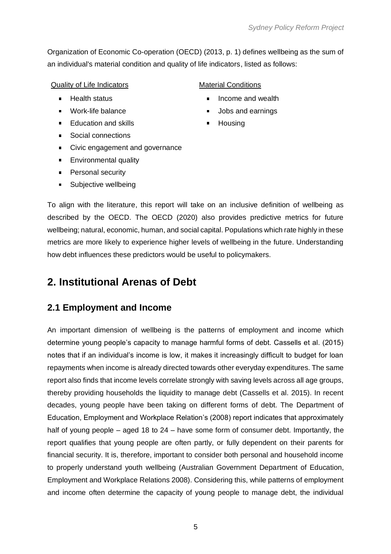Organization of Economic Co-operation (OECD) (2013, p. 1) defines wellbeing as the sum of an individual's material condition and quality of life indicators, listed as follows:

#### Quality of Life Indicators **Material Conditions**

- 
- 
- Education and skills Housing
- Social connections
- Civic engagement and governance
- **Environmental quality**
- **Personal security**
- **Subjective wellbeing**

- Health status Income and wealth
	- Work-life balance **Vouce** All and earnings
		-

To align with the literature, this report will take on an inclusive definition of wellbeing as described by the OECD. The OECD (2020) also provides predictive metrics for future wellbeing; natural, economic, human, and social capital. Populations which rate highly in these metrics are more likely to experience higher levels of wellbeing in the future. Understanding how debt influences these predictors would be useful to policymakers.

## <span id="page-6-0"></span>**2. Institutional Arenas of Debt**

#### <span id="page-6-1"></span>**2.1 Employment and Income**

An important dimension of wellbeing is the patterns of employment and income which determine young people's capacity to manage harmful forms of debt. Cassells et al. (2015) notes that if an individual's income is low, it makes it increasingly difficult to budget for loan repayments when income is already directed towards other everyday expenditures. The same report also finds that income levels correlate strongly with saving levels across all age groups, thereby providing households the liquidity to manage debt (Cassells et al. 2015). In recent decades, young people have been taking on different forms of debt. The Department of Education, Employment and Workplace Relation's (2008) report indicates that approximately half of young people – aged 18 to 24 – have some form of consumer debt. Importantly, the report qualifies that young people are often partly, or fully dependent on their parents for financial security. It is, therefore, important to consider both personal and household income to properly understand youth wellbeing (Australian Government Department of Education, Employment and Workplace Relations 2008). Considering this, while patterns of employment and income often determine the capacity of young people to manage debt, the individual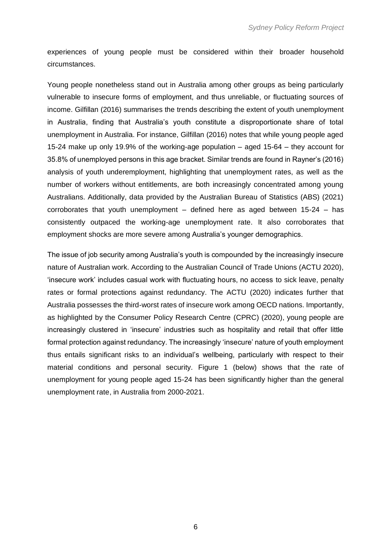experiences of young people must be considered within their broader household circumstances.

Young people nonetheless stand out in Australia among other groups as being particularly vulnerable to insecure forms of employment, and thus unreliable, or fluctuating sources of income. Gilfillan (2016) summarises the trends describing the extent of youth unemployment in Australia, finding that Australia's youth constitute a disproportionate share of total unemployment in Australia. For instance, Gilfillan (2016) notes that while young people aged 15-24 make up only 19.9% of the working-age population – aged 15-64 – they account for 35.8% of unemployed persons in this age bracket. Similar trends are found in Rayner's (2016) analysis of youth underemployment, highlighting that unemployment rates, as well as the number of workers without entitlements, are both increasingly concentrated among young Australians. Additionally, data provided by the Australian Bureau of Statistics (ABS) (2021) corroborates that youth unemployment  $-$  defined here as aged between 15-24  $-$  has consistently outpaced the working-age unemployment rate. It also corroborates that employment shocks are more severe among Australia's younger demographics.

The issue of job security among Australia's youth is compounded by the increasingly insecure nature of Australian work. According to the Australian Council of Trade Unions (ACTU 2020), 'insecure work' includes casual work with fluctuating hours, no access to sick leave, penalty rates or formal protections against redundancy. The ACTU (2020) indicates further that Australia possesses the third-worst rates of insecure work among OECD nations. Importantly, as highlighted by the Consumer Policy Research Centre (CPRC) (2020), young people are increasingly clustered in 'insecure' industries such as hospitality and retail that offer little formal protection against redundancy. The increasingly 'insecure' nature of youth employment thus entails significant risks to an individual's wellbeing, particularly with respect to their material conditions and personal security. Figure 1 (below) shows that the rate of unemployment for young people aged 15-24 has been significantly higher than the general unemployment rate, in Australia from 2000-2021.

6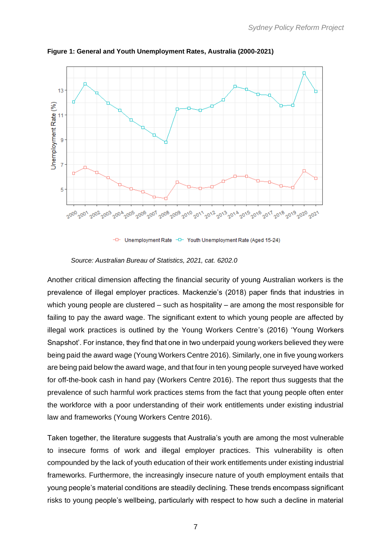

**Figure 1: General and Youth Unemployment Rates, Australia (2000-2021)**

Unemployment Rate -D-Youth Unemployment Rate (Aged 15-24)

*Source: Australian Bureau of Statistics, 2021, cat. 6202.0* 

Another critical dimension affecting the financial security of young Australian workers is the prevalence of illegal employer practices. Mackenzie's (2018) paper finds that industries in which young people are clustered – such as hospitality – are among the most responsible for failing to pay the award wage. The significant extent to which young people are affected by illegal work practices is outlined by the Young Workers Centre's (2016) 'Young Workers Snapshot'. For instance, they find that one in two underpaid young workers believed they were being paid the award wage (Young Workers Centre 2016). Similarly, one in five young workers are being paid below the award wage, and that four in ten young people surveyed have worked for off-the-book cash in hand pay (Workers Centre 2016). The report thus suggests that the prevalence of such harmful work practices stems from the fact that young people often enter the workforce with a poor understanding of their work entitlements under existing industrial law and frameworks (Young Workers Centre 2016).

Taken together, the literature suggests that Australia's youth are among the most vulnerable to insecure forms of work and illegal employer practices. This vulnerability is often compounded by the lack of youth education of their work entitlements under existing industrial frameworks. Furthermore, the increasingly insecure nature of youth employment entails that young people's material conditions are steadily declining. These trends encompass significant risks to young people's wellbeing, particularly with respect to how such a decline in material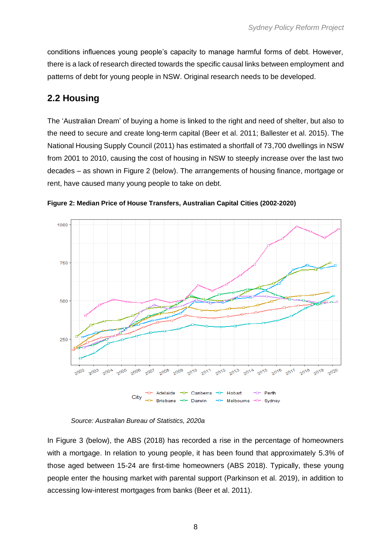conditions influences young people's capacity to manage harmful forms of debt. However, there is a lack of research directed towards the specific causal links between employment and patterns of debt for young people in NSW. Original research needs to be developed.

## <span id="page-9-0"></span>**2.2 Housing**

The 'Australian Dream' of buying a home is linked to the right and need of shelter, but also to the need to secure and create long-term capital (Beer et al. 2011; Ballester et al. 2015). The National Housing Supply Council (2011) has estimated a shortfall of 73,700 dwellings in NSW from 2001 to 2010, causing the cost of housing in NSW to steeply increase over the last two decades – as shown in Figure 2 (below). The arrangements of housing finance, mortgage or rent, have caused many young people to take on debt.



**Figure 2: Median Price of House Transfers, Australian Capital Cities (2002-2020)**

In Figure 3 (below), the ABS (2018) has recorded a rise in the percentage of homeowners with a mortgage. In relation to young people, it has been found that approximately 5.3% of those aged between 15-24 are first-time homeowners (ABS 2018). Typically, these young people enter the housing market with parental support (Parkinson et al. 2019), in addition to accessing low-interest mortgages from banks (Beer et al. 2011).

*Source: Australian Bureau of Statistics, 2020a*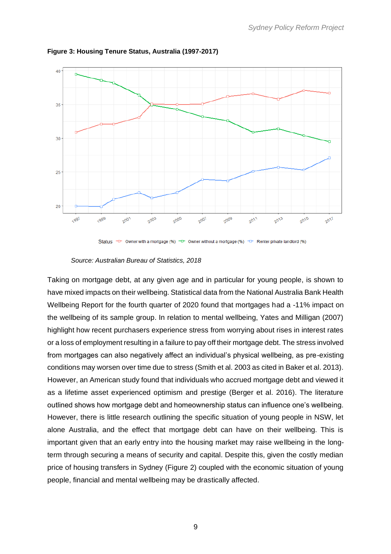

**Figure 3: Housing Tenure Status, Australia (1997-2017)**



*Source: Australian Bureau of Statistics, 2018*

Taking on mortgage debt, at any given age and in particular for young people, is shown to have mixed impacts on their wellbeing. Statistical data from the National Australia Bank Health Wellbeing Report for the fourth quarter of 2020 found that mortgages had a -11% impact on the wellbeing of its sample group. In relation to mental wellbeing, Yates and Milligan (2007) highlight how recent purchasers experience stress from worrying about rises in interest rates or a loss of employment resulting in a failure to pay off their mortgage debt. The stress involved from mortgages can also negatively affect an individual's physical wellbeing, as pre-existing conditions may worsen over time due to stress (Smith et al. 2003 as cited in Baker et al. 2013). However, an American study found that individuals who accrued mortgage debt and viewed it as a lifetime asset experienced optimism and prestige (Berger et al. 2016). The literature outlined shows how mortgage debt and homeownership status can influence one's wellbeing. However, there is little research outlining the specific situation of young people in NSW, let alone Australia, and the effect that mortgage debt can have on their wellbeing. This is important given that an early entry into the housing market may raise wellbeing in the longterm through securing a means of security and capital. Despite this, given the costly median price of housing transfers in Sydney (Figure 2) coupled with the economic situation of young people, financial and mental wellbeing may be drastically affected.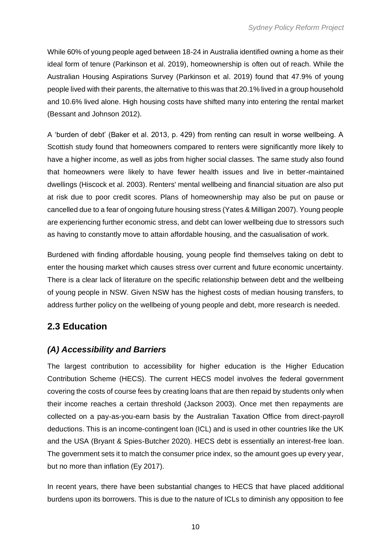While 60% of young people aged between 18-24 in Australia identified owning a home as their ideal form of tenure (Parkinson et al. 2019), homeownership is often out of reach. While the Australian Housing Aspirations Survey (Parkinson et al. 2019) found that 47.9% of young people lived with their parents, the alternative to this was that 20.1% lived in a group household and 10.6% lived alone. High housing costs have shifted many into entering the rental market (Bessant and Johnson 2012).

A 'burden of debt' (Baker et al. 2013, p. 429) from renting can result in worse wellbeing. A Scottish study found that homeowners compared to renters were significantly more likely to have a higher income, as well as jobs from higher social classes. The same study also found that homeowners were likely to have fewer health issues and live in better-maintained dwellings (Hiscock et al. 2003). Renters' mental wellbeing and financial situation are also put at risk due to poor credit scores. Plans of homeownership may also be put on pause or cancelled due to a fear of ongoing future housing stress (Yates & Milligan 2007). Young people are experiencing further economic stress, and debt can lower wellbeing due to stressors such as having to constantly move to attain affordable housing, and the casualisation of work.

Burdened with finding affordable housing, young people find themselves taking on debt to enter the housing market which causes stress over current and future economic uncertainty. There is a clear lack of literature on the specific relationship between debt and the wellbeing of young people in NSW. Given NSW has the highest costs of median housing transfers, to address further policy on the wellbeing of young people and debt, more research is needed.

## <span id="page-11-0"></span>**2.3 Education**

#### *(A) Accessibility and Barriers*

The largest contribution to accessibility for higher education is the Higher Education Contribution Scheme (HECS). The current HECS model involves the federal government covering the costs of course fees by creating loans that are then repaid by students only when their income reaches a certain threshold (Jackson 2003). Once met then repayments are collected on a pay-as-you-earn basis by the Australian Taxation Office from direct-payroll deductions. This is an income-contingent loan (ICL) and is used in other countries like the UK and the USA (Bryant & Spies-Butcher 2020). HECS debt is essentially an interest-free loan. The government sets it to match the consumer price index, so the amount goes up every year, but no more than inflation (Ey 2017).

In recent years, there have been substantial changes to HECS that have placed additional burdens upon its borrowers. This is due to the nature of ICLs to diminish any opposition to fee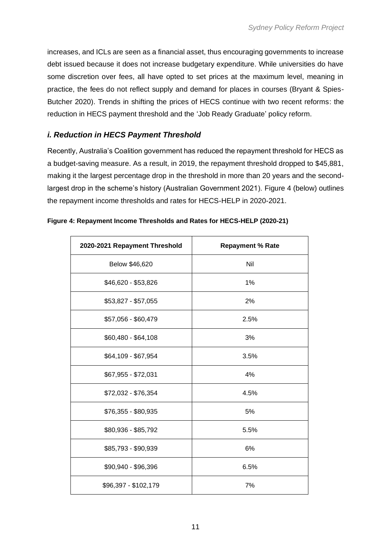increases, and ICLs are seen as a financial asset, thus encouraging governments to increase debt issued because it does not increase budgetary expenditure. While universities do have some discretion over fees, all have opted to set prices at the maximum level, meaning in practice, the fees do not reflect supply and demand for places in courses (Bryant & Spies-Butcher 2020). Trends in shifting the prices of HECS continue with two recent reforms: the reduction in HECS payment threshold and the 'Job Ready Graduate' policy reform.

#### *i. Reduction in HECS Payment Threshold*

Recently, Australia's Coalition government has reduced the repayment threshold for HECS as a budget-saving measure. As a result, in 2019, the repayment threshold dropped to \$45,881, making it the largest percentage drop in the threshold in more than 20 years and the secondlargest drop in the scheme's history (Australian Government 2021). Figure 4 (below) outlines the repayment income thresholds and rates for HECS-HELP in 2020-2021.

| 2020-2021 Repayment Threshold | <b>Repayment % Rate</b> |
|-------------------------------|-------------------------|
| Below \$46,620                | Nil                     |
| \$46,620 - \$53,826           | 1%                      |
| \$53,827 - \$57,055           | 2%                      |
| \$57,056 - \$60,479           | 2.5%                    |
| $$60,480 - $64,108$           | 3%                      |
| \$64,109 - \$67,954           | 3.5%                    |
| \$67,955 - \$72,031           | 4%                      |
| \$72,032 - \$76,354           | 4.5%                    |
| \$76,355 - \$80,935           | 5%                      |
| \$80,936 - \$85,792           | 5.5%                    |
| \$85,793 - \$90,939           | 6%                      |
| \$90,940 - \$96,396           | 6.5%                    |
| \$96,397 - \$102,179          | 7%                      |

**Figure 4: Repayment Income Thresholds and Rates for HECS-HELP (2020-21)**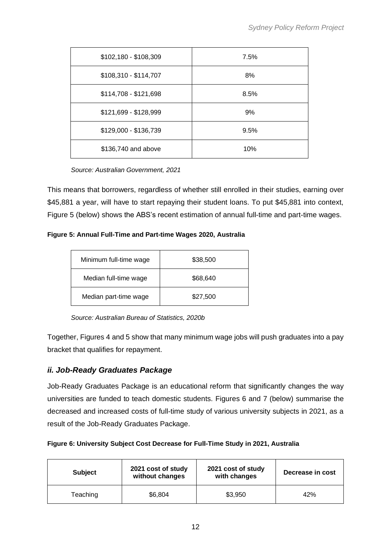| \$102,180 - \$108,309 | 7.5% |
|-----------------------|------|
| \$108,310 - \$114,707 | 8%   |
| \$114,708 - \$121,698 | 8.5% |
| \$121,699 - \$128,999 | 9%   |
| \$129,000 - \$136,739 | 9.5% |
| \$136,740 and above   | 10%  |

*Source: Australian Government, 2021*

This means that borrowers, regardless of whether still enrolled in their studies, earning over \$45,881 a year, will have to start repaying their student loans. To put \$45,881 into context, Figure 5 (below) shows the ABS's recent estimation of annual full-time and part-time wages.

**Figure 5: Annual Full-Time and Part-time Wages 2020, Australia**

| Minimum full-time wage | \$38,500 |
|------------------------|----------|
| Median full-time wage  | \$68,640 |
| Median part-time wage  | \$27,500 |

*Source: Australian Bureau of Statistics, 2020b*

Together, Figures 4 and 5 show that many minimum wage jobs will push graduates into a pay bracket that qualifies for repayment.

#### *ii. Job-Ready Graduates Package*

Job-Ready Graduates Package is an educational reform that significantly changes the way universities are funded to teach domestic students. Figures 6 and 7 (below) summarise the decreased and increased costs of full-time study of various university subjects in 2021, as a result of the Job-Ready Graduates Package.

|  |  | Figure 6: University Subject Cost Decrease for Full-Time Study in 2021, Australia |  |
|--|--|-----------------------------------------------------------------------------------|--|
|  |  |                                                                                   |  |

| <b>Subject</b> | 2021 cost of study<br>without changes | 2021 cost of study<br>with changes | Decrease in cost |
|----------------|---------------------------------------|------------------------------------|------------------|
| Teaching       | \$6,804                               | \$3,950                            | 42%              |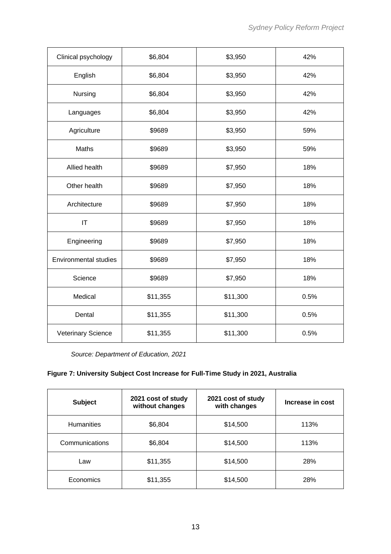| Clinical psychology          | \$6,804<br>\$3,950 |          | 42%  |
|------------------------------|--------------------|----------|------|
| English                      | \$6,804            | \$3,950  | 42%  |
| Nursing                      | \$6,804            | \$3,950  | 42%  |
| Languages                    | \$6,804            | \$3,950  | 42%  |
| Agriculture                  | \$9689             | \$3,950  | 59%  |
| Maths                        | \$9689             | \$3,950  | 59%  |
| Allied health                | \$9689             | \$7,950  | 18%  |
| Other health                 | \$9689             | \$7,950  | 18%  |
| Architecture                 | \$9689             | \$7,950  | 18%  |
| IT                           | \$9689             | \$7,950  | 18%  |
| Engineering                  | \$9689             | \$7,950  | 18%  |
| <b>Environmental studies</b> | \$9689             | \$7,950  | 18%  |
| Science                      | \$9689             | \$7,950  | 18%  |
| Medical                      | \$11,355           | \$11,300 | 0.5% |
| Dental                       | \$11,355           | \$11,300 | 0.5% |
| Veterinary Science           | \$11,355           | \$11,300 | 0.5% |

*Source: Department of Education, 2021*

#### **Figure 7: University Subject Cost Increase for Full-Time Study in 2021, Australia**

| <b>Subject</b>    | 2021 cost of study<br>without changes | 2021 cost of study<br>with changes | Increase in cost |
|-------------------|---------------------------------------|------------------------------------|------------------|
| <b>Humanities</b> | \$6,804                               | \$14,500                           | 113%             |
| Communications    | \$6,804                               | \$14,500                           | 113%             |
| Law               | \$11,355                              | \$14,500                           | 28%              |
| Economics         | \$11,355                              | \$14,500                           | 28%              |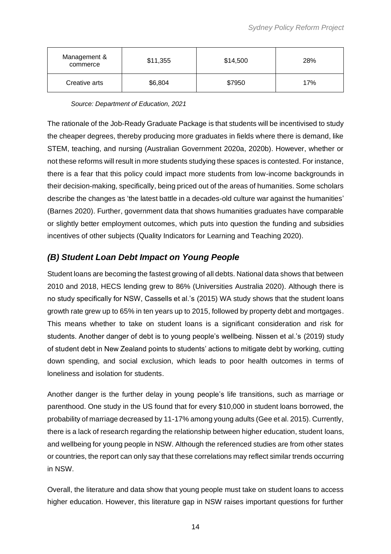| Management &<br>commerce | \$11,355 | \$14,500 | 28% |
|--------------------------|----------|----------|-----|
| Creative arts            | \$6,804  | \$7950   | 17% |

*Source: Department of Education, 2021*

The rationale of the Job-Ready Graduate Package is that students will be incentivised to study the cheaper degrees, thereby producing more graduates in fields where there is demand, like STEM, teaching, and nursing (Australian Government 2020a, 2020b). However, whether or not these reforms will result in more students studying these spaces is contested. For instance, there is a fear that this policy could impact more students from low-income backgrounds in their decision-making, specifically, being priced out of the areas of humanities. Some scholars describe the changes as 'the latest battle in a decades-old culture war against the humanities' (Barnes 2020). Further, government data that shows humanities graduates have comparable or slightly better employment outcomes, which puts into question the funding and subsidies incentives of other subjects (Quality Indicators for Learning and Teaching 2020).

#### *(B) Student Loan Debt Impact on Young People*

Student loans are becoming the fastest growing of all debts. National data shows that between 2010 and 2018, HECS lending grew to 86% (Universities Australia 2020). Although there is no study specifically for NSW, Cassells et al.'s (2015) WA study shows that the student loans growth rate grew up to 65% in ten years up to 2015, followed by property debt and mortgages. This means whether to take on student loans is a significant consideration and risk for students. Another danger of debt is to young people's wellbeing. Nissen et al.'s (2019) study of student debt in New Zealand points to students' actions to mitigate debt by working, cutting down spending, and social exclusion, which leads to poor health outcomes in terms of loneliness and isolation for students.

Another danger is the further delay in young people's life transitions, such as marriage or parenthood. One study in the US found that for every \$10,000 in student loans borrowed, the probability of marriage decreased by 11-17% among young adults (Gee et al. 2015). Currently, there is a lack of research regarding the relationship between higher education, student loans, and wellbeing for young people in NSW. Although the referenced studies are from other states or countries, the report can only say that these correlations may reflect similar trends occurring in NSW.

Overall, the literature and data show that young people must take on student loans to access higher education. However, this literature gap in NSW raises important questions for further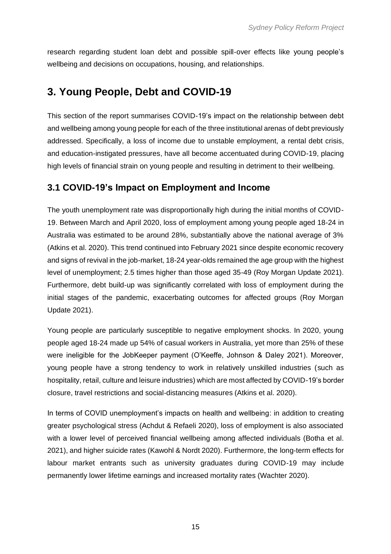research regarding student loan debt and possible spill-over effects like young people's wellbeing and decisions on occupations, housing, and relationships.

# <span id="page-16-0"></span>**3. Young People, Debt and COVID-19**

This section of the report summarises COVID-19's impact on the relationship between debt and wellbeing among young people for each of the three institutional arenas of debt previously addressed. Specifically, a loss of income due to unstable employment, a rental debt crisis, and education-instigated pressures, have all become accentuated during COVID-19, placing high levels of financial strain on young people and resulting in detriment to their wellbeing.

#### <span id="page-16-1"></span>**3.1 COVID-19's Impact on Employment and Income**

The youth unemployment rate was disproportionally high during the initial months of COVID-19. Between March and April 2020, loss of employment among young people aged 18-24 in Australia was estimated to be around 28%, substantially above the national average of 3% (Atkins et al. 2020). This trend continued into February 2021 since despite economic recovery and signs of revival in the job-market, 18-24 year-olds remained the age group with the highest level of unemployment; 2.5 times higher than those aged 35-49 (Roy Morgan Update 2021). Furthermore, debt build-up was significantly correlated with loss of employment during the initial stages of the pandemic, exacerbating outcomes for affected groups (Roy Morgan Update 2021).

Young people are particularly susceptible to negative employment shocks. In 2020, young people aged 18-24 made up 54% of casual workers in Australia, yet more than 25% of these were ineligible for the JobKeeper payment (O'Keeffe, Johnson & Daley 2021). Moreover, young people have a strong tendency to work in relatively unskilled industries (such as hospitality, retail, culture and leisure industries) which are most affected by COVID-19's border closure, travel restrictions and social-distancing measures (Atkins et al. 2020).

In terms of COVID unemployment's impacts on health and wellbeing: in addition to creating greater psychological stress (Achdut & Refaeli 2020), loss of employment is also associated with a lower level of perceived financial wellbeing among affected individuals (Botha et al. 2021), and higher suicide rates (Kawohl & Nordt 2020). Furthermore, the long-term effects for labour market entrants such as university graduates during COVID-19 may include permanently lower lifetime earnings and increased mortality rates (Wachter 2020).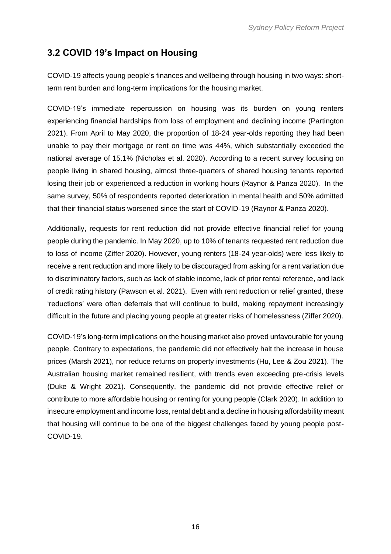## <span id="page-17-0"></span>**3.2 COVID 19's Impact on Housing**

COVID-19 affects young people's finances and wellbeing through housing in two ways: shortterm rent burden and long-term implications for the housing market.

COVID-19's immediate repercussion on housing was its burden on young renters experiencing financial hardships from loss of employment and declining income (Partington 2021). From April to May 2020, the proportion of 18-24 year-olds reporting they had been unable to pay their mortgage or rent on time was 44%, which substantially exceeded the national average of 15.1% (Nicholas et al. 2020). According to a recent survey focusing on people living in shared housing, almost three-quarters of shared housing tenants reported losing their job or experienced a reduction in working hours (Raynor & Panza 2020). In the same survey, 50% of respondents reported deterioration in mental health and 50% admitted that their financial status worsened since the start of COVID-19 (Raynor & Panza 2020).

Additionally, requests for rent reduction did not provide effective financial relief for young people during the pandemic. In May 2020, up to 10% of tenants requested rent reduction due to loss of income (Ziffer 2020). However, young renters (18-24 year-olds) were less likely to receive a rent reduction and more likely to be discouraged from asking for a rent variation due to discriminatory factors, such as lack of stable income, lack of prior rental reference, and lack of credit rating history (Pawson et al. 2021). Even with rent reduction or relief granted, these 'reductions' were often deferrals that will continue to build, making repayment increasingly difficult in the future and placing young people at greater risks of homelessness (Ziffer 2020).

COVID-19's long-term implications on the housing market also proved unfavourable for young people. Contrary to expectations, the pandemic did not effectively halt the increase in house prices (Marsh 2021), nor reduce returns on property investments (Hu, Lee & Zou 2021). The Australian housing market remained resilient, with trends even exceeding pre-crisis levels (Duke & Wright 2021). Consequently, the pandemic did not provide effective relief or contribute to more affordable housing or renting for young people (Clark 2020). In addition to insecure employment and income loss, rental debt and a decline in housing affordability meant that housing will continue to be one of the biggest challenges faced by young people post-COVID-19.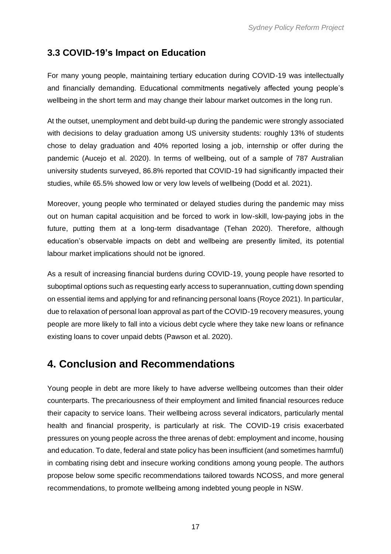#### <span id="page-18-0"></span>**3.3 COVID-19's Impact on Education**

For many young people, maintaining tertiary education during COVID-19 was intellectually and financially demanding. Educational commitments negatively affected young people's wellbeing in the short term and may change their labour market outcomes in the long run.

At the outset, unemployment and debt build-up during the pandemic were strongly associated with decisions to delay graduation among US university students: roughly 13% of students chose to delay graduation and 40% reported losing a job, internship or offer during the pandemic (Aucejo et al. 2020). In terms of wellbeing, out of a sample of 787 Australian university students surveyed, 86.8% reported that COVID-19 had significantly impacted their studies, while 65.5% showed low or very low levels of wellbeing (Dodd et al. 2021).

Moreover, young people who terminated or delayed studies during the pandemic may miss out on human capital acquisition and be forced to work in low-skill, low-paying jobs in the future, putting them at a long-term disadvantage (Tehan 2020). Therefore, although education's observable impacts on debt and wellbeing are presently limited, its potential labour market implications should not be ignored.

As a result of increasing financial burdens during COVID-19, young people have resorted to suboptimal options such as requesting early access to superannuation, cutting down spending on essential items and applying for and refinancing personal loans (Royce 2021). In particular, due to relaxation of personal loan approval as part of the COVID-19 recovery measures, young people are more likely to fall into a vicious debt cycle where they take new loans or refinance existing loans to cover unpaid debts (Pawson et al. 2020).

## <span id="page-18-1"></span>**4. Conclusion and Recommendations**

Young people in debt are more likely to have adverse wellbeing outcomes than their older counterparts. The precariousness of their employment and limited financial resources reduce their capacity to service loans. Their wellbeing across several indicators, particularly mental health and financial prosperity, is particularly at risk. The COVID-19 crisis exacerbated pressures on young people across the three arenas of debt: employment and income, housing and education. To date, federal and state policy has been insufficient (and sometimes harmful) in combating rising debt and insecure working conditions among young people. The authors propose below some specific recommendations tailored towards NCOSS, and more general recommendations, to promote wellbeing among indebted young people in NSW.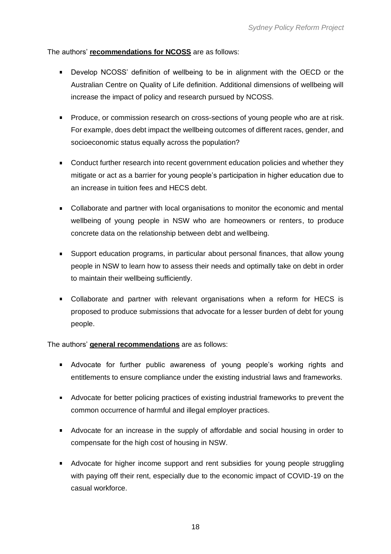The authors' **recommendations for NCOSS** are as follows:

- Develop NCOSS' definition of wellbeing to be in alignment with the OECD or the Australian Centre on Quality of Life definition. Additional dimensions of wellbeing will increase the impact of policy and research pursued by NCOSS.
- **Produce, or commission research on cross-sections of young people who are at risk.** For example, does debt impact the wellbeing outcomes of different races, gender, and socioeconomic status equally across the population?
- **Conduct further research into recent government education policies and whether they** mitigate or act as a barrier for young people's participation in higher education due to an increase in tuition fees and HECS debt.
- Collaborate and partner with local organisations to monitor the economic and mental wellbeing of young people in NSW who are homeowners or renters, to produce concrete data on the relationship between debt and wellbeing.
- Support education programs, in particular about personal finances, that allow young people in NSW to learn how to assess their needs and optimally take on debt in order to maintain their wellbeing sufficiently.
- Collaborate and partner with relevant organisations when a reform for HECS is proposed to produce submissions that advocate for a lesser burden of debt for young people.

The authors' **general recommendations** are as follows:

- **Advocate for further public awareness of young people's working rights and** entitlements to ensure compliance under the existing industrial laws and frameworks.
- Advocate for better policing practices of existing industrial frameworks to prevent the common occurrence of harmful and illegal employer practices.
- Advocate for an increase in the supply of affordable and social housing in order to compensate for the high cost of housing in NSW.
- Advocate for higher income support and rent subsidies for young people struggling with paying off their rent, especially due to the economic impact of COVID-19 on the casual workforce.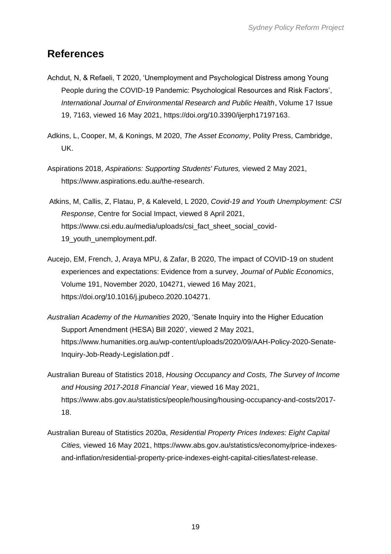## <span id="page-20-0"></span>**References**

- Achdut, N, & Refaeli, T 2020, 'Unemployment and Psychological Distress among Young People during the COVID-19 Pandemic: Psychological Resources and Risk Factors', *International Journal of Environmental Research and Public Health*, Volume 17 Issue 19, 7163, viewed 16 May 2021[,](https://doi.org/10.3390/ijerph17197163) [https://doi.org/10.3390/ijerph17197163.](https://doi.org/10.3390/ijerph17197163)
- Adkins, L, Cooper, M, & Konings, M 2020, *The Asset Economy*, Polity Press, Cambridge, UK.
- Aspirations 2018, *Aspirations: Supporting Students' Futures,* viewed 2 May 2021[,](https://www.aspirations.edu.au/the-research) [https://www.aspirations.edu.au/the-research.](https://www.aspirations.edu.au/the-research)
- Atkins, M, Callis, Z, Flatau, P, & Kaleveld, L 2020, *Covid-19 and Youth Unemployment: CSI Response*, Centre for Social Impact, viewed 8 April 2021[,](https://www.csi.edu.au/media/uploads/csi_fact_sheet_social_covid-19_youth_unemployment.pdf) [https://www.csi.edu.au/media/uploads/csi\\_fact\\_sheet\\_social\\_covid-](https://www.csi.edu.au/media/uploads/csi_fact_sheet_social_covid-19_youth_unemployment.pdf)19 youth unemployment.pdf.
- Aucejo, EM, French, J, Araya MPU, & Zafar, B 2020, The impact of COVID-19 on student experiences and expectations: Evidence from a survey, *Journal of Public Economics*, Volume 191, November 2020, 104271, viewed 16 May 2021[,](https://doi.org/10.1016/j.jpubeco.2020.104271) [https://doi.org/10.1016/j.jpubeco.2020.104271.](https://doi.org/10.1016/j.jpubeco.2020.104271)
- *Australian Academy of the Humanities* 2020, 'Senate Inquiry into the Higher Education Support Amendment (HESA) Bill 2020'*,* viewed 2 May 2021[,](https://www.humanities.org.au/wp-content/uploads/2020/09/AAH-Policy-2020-Senate-Inquiry-Job-Ready-Legislation.pdf) [https://www.humanities.org.au/wp-content/uploads/2020/09/AAH-Policy-2020-Senate-](https://www.humanities.org.au/wp-content/uploads/2020/09/AAH-Policy-2020-Senate-Inquiry-Job-Ready-Legislation.pdf)[Inquiry-Job-Ready-Legislation.pdf](https://www.humanities.org.au/wp-content/uploads/2020/09/AAH-Policy-2020-Senate-Inquiry-Job-Ready-Legislation.pdf) .
- Australian Bureau of Statistics 2018, *Housing Occupancy and Costs, The Survey of Income and Housing 2017-2018 Financial Year*, viewed 16 May 2021[,](https://www.abs.gov.au/statistics/people/housing/housing-occupancy-and-costs/2017-18) [https://www.abs.gov.au/statistics/people/housing/housing-occupancy-and-costs/2017-](https://www.abs.gov.au/statistics/people/housing/housing-occupancy-and-costs/2017-18) [18.](https://www.abs.gov.au/statistics/people/housing/housing-occupancy-and-costs/2017-18)
- Australian Bureau of Statistics 2020a, *Residential Property Prices Indexes: Eight Capital Cities,* viewed 16 May 2021[,](https://www.abs.gov.au/statistics/economy/price-indexes-and-inflation/residential-property-price-indexes-eight-capital-cities/latest-release) [https://www.abs.gov.au/statistics/economy/price-indexes](https://www.abs.gov.au/statistics/economy/price-indexes-and-inflation/residential-property-price-indexes-eight-capital-cities/latest-release)[and-inflation/residential-property-price-indexes-eight-capital-cities/latest-release.](https://www.abs.gov.au/statistics/economy/price-indexes-and-inflation/residential-property-price-indexes-eight-capital-cities/latest-release)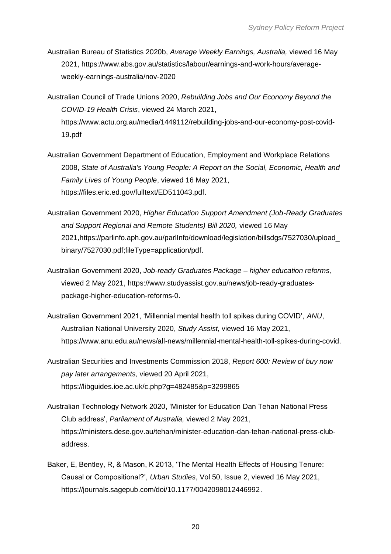- Australian Bureau of Statistics 2020b, *Average Weekly Earnings, Australia,* viewed 16 May 2021, [https://www.abs.gov.au/statistics/labour/earnings-and-work-hours/average](https://www.abs.gov.au/statistics/labour/earnings-and-work-hours/average-weekly-earnings-australia/nov-2020)[weekly-earnings-australia/nov-2020](https://www.abs.gov.au/statistics/labour/earnings-and-work-hours/average-weekly-earnings-australia/nov-2020)
- Australian Council of Trade Unions 2020, *Rebuilding Jobs and Our Economy Beyond the COVID-19 Health Crisis*, viewed 24 March 2021[,](https://www.actu.org.au/media/1449112/rebuilding-jobs-and-our-economy-post-covid-19.pdf) [https://www.actu.org.au/media/1449112/rebuilding-jobs-and-our-economy-post-covid-](https://www.actu.org.au/media/1449112/rebuilding-jobs-and-our-economy-post-covid-19.pdf)[19.pdf](https://www.actu.org.au/media/1449112/rebuilding-jobs-and-our-economy-post-covid-19.pdf)
- Australian Government Department of Education, Employment and Workplace Relations 2008, *State of Australia's Young People: A Report on the Social, Economic, Health and Family Lives of Young People*, viewed 16 May 2021, [https://files.eric.ed.gov/fulltext/ED511043.pdf.](https://files.eric.ed.gov/fulltext/ED511043.pdf)
- Australian Government 2020, *Higher Education Support Amendment (Job-Ready Graduates and Support Regional and Remote Students) Bill 2020,* viewed 16 May 2021[,https://parlinfo.aph.gov.au/parlInfo/download/legislation/billsdgs/7527030/upload\\_](https://parlinfo.aph.gov.au/parlInfo/download/legislation/billsdgs/7527030/upload_binary/7527030.pdf;fileType=application/pdf) [binary/7527030.pdf;fileType=application/pdf.](https://parlinfo.aph.gov.au/parlInfo/download/legislation/billsdgs/7527030/upload_binary/7527030.pdf;fileType=application/pdf)
- Australian Government 2020, *Job-ready Graduates Package – higher education reforms,*  viewed 2 May 2021[,](https://www.studyassist.gov.au/news/job-ready-graduates-package-higher-education-reforms-0) [https://www.studyassist.gov.au/news/job-ready-graduates](https://www.studyassist.gov.au/news/job-ready-graduates-package-higher-education-reforms-0)[package-higher-education-reforms-0.](https://www.studyassist.gov.au/news/job-ready-graduates-package-higher-education-reforms-0)
- Australian Government 2021, 'Millennial mental health toll spikes during COVID', *ANU*, Australian National University 2020, *Study Assist,* viewed 16 May 2021[,](https://www.anu.edu.au/news/all-news/millennial-mental-health-toll-spikes-during-covid) [https://www.anu.edu.au/news/all-news/millennial-mental-health-toll-spikes-during-covid.](https://www.anu.edu.au/news/all-news/millennial-mental-health-toll-spikes-during-covid)
- Australian Securities and Investments Commission 2018, *Report 600: Review of buy now pay later arrangements,* viewed 20 April 2021[,](https://libguides.ioe.ac.uk/c.php?g=482485&p=3299865) <https://libguides.ioe.ac.uk/c.php?g=482485&p=3299865>
- Australian Technology Network 2020, 'Minister for Education Dan Tehan National Press Club address', *Parliament of Australia,* viewed 2 May 2021[,](https://ministers.dese.gov.au/tehan/minister-education-dan-tehan-national-press-club-address) [https://ministers.dese.gov.au/tehan/minister-education-dan-tehan-national-press-club](https://ministers.dese.gov.au/tehan/minister-education-dan-tehan-national-press-club-address)[address.](https://ministers.dese.gov.au/tehan/minister-education-dan-tehan-national-press-club-address)
- Baker, E, Bentley, R, & Mason, K 2013, 'The Mental Health Effects of Housing Tenure: Causal or Compositional?', *Urban Studies*, Vol 50, Issue 2, viewed 16 May 2021[,](https://journals.sagepub.com/doi/10.1177/0042098012446992) [https://journals.sagepub.com/doi/10.1177/0042098012446992.](https://journals.sagepub.com/doi/10.1177/0042098012446992)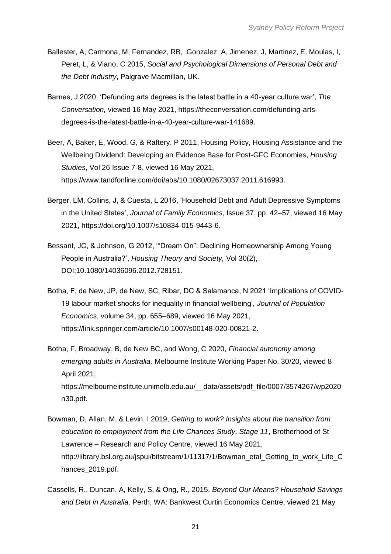- Ballester, A, Carmona, M, Fernandez, RB, Gonzalez, A, Jimenez, J, Martinez, E, Moulas, I, Peret, L, & Viano, C 2015, *Social and Psychological Dimensions of Personal Debt and the Debt Industry*, Palgrave Macmillan, UK.
- Barnes, J 2020, 'Defunding arts degrees is the latest battle in a 40-year culture war', *The Conversation,* viewed 16 May 2021[,](https://theconversation.com/defunding-arts-degrees-is-the-latest-battle-in-a-40-year-culture-war-141689) [https://theconversation.com/defunding-arts](https://theconversation.com/defunding-arts-degrees-is-the-latest-battle-in-a-40-year-culture-war-141689)[degrees-is-the-latest-battle-in-a-40-year-culture-war-141689.](https://theconversation.com/defunding-arts-degrees-is-the-latest-battle-in-a-40-year-culture-war-141689)
- Beer, A, Baker, E, Wood, G, & Raftery, P 2011, Housing Policy, Housing Assistance and the Wellbeing Dividend: Developing an Evidence Base for Post-GFC Economies, *Housing Studies*, Vol 26 Issue 7-8, viewed 16 May 2021[,](https://www.tandfonline.com/doi/abs/10.1080/02673037.2011.616993) [https://www.tandfonline.com/doi/abs/10.1080/02673037.2011.616993.](https://www.tandfonline.com/doi/abs/10.1080/02673037.2011.616993)
- Berger, LM, Collins, J, & Cuesta, L 2016, 'Household Debt and Adult Depressive Symptoms in the United States', *Journal of Family Economics*, Issue 37, pp. 42–57, viewed 16 May 2021[,](https://doi.org/10.1007/s10834-015-9443-6) [https://doi.org/10.1007/s10834-015-9443-6.](https://doi.org/10.1007/s10834-015-9443-6)
- Bessant, JC, & Johnson, G 2012, '"Dream On": Declining Homeownership Among Young People in Australia?', *Housing Theory and Society,* Vol 30(2), DOI:10.1080/14036096.2012.728151.
- Botha, F, de New, JP, de New, SC, Ribar, DC & Salamanca, N 2021 'Implications of COVID-19 labour market shocks for inequality in financial wellbeing', *Journal of Population Economics*, volume 34, pp. 655–689, viewed 16 May 2021[,](https://link.springer.com/article/10.1007/s00148-020-00821-2) [https://link.springer.com/article/10.1007/s00148-020-00821-2.](https://link.springer.com/article/10.1007/s00148-020-00821-2)
- Botha, F, Broadway, B, de New BC, and Wong, C 2020, *Financial autonomy among emerging adults in Australia,* Melbourne Institute Working Paper No. 30/20, viewed 8 April 2021[,](https://melbourneinstitute.unimelb.edu.au/__data/assets/pdf_file/0007/3574267/wp2020n30.pdf) [https://melbourneinstitute.unimelb.edu.au/\\_\\_data/assets/pdf\\_file/0007/3574267/wp2020](https://melbourneinstitute.unimelb.edu.au/__data/assets/pdf_file/0007/3574267/wp2020n30.pdf) [n30.pdf.](https://melbourneinstitute.unimelb.edu.au/__data/assets/pdf_file/0007/3574267/wp2020n30.pdf)
- Bowman, D, Allan, M, & Levin, I 2019, *Getting to work? Insights about the transition from education to employment from the Life Chances Study, Stage 11*, Brotherhood of St Lawrence – Research and Policy Centre, viewed 16 May 2021[,](http://library.bsl.org.au/jspui/bitstream/1/11317/1/Bowman_etal_Getting_to_work_Life_Chances_2019.pdf) [http://library.bsl.org.au/jspui/bitstream/1/11317/1/Bowman\\_etal\\_Getting\\_to\\_work\\_Life\\_C](http://library.bsl.org.au/jspui/bitstream/1/11317/1/Bowman_etal_Getting_to_work_Life_Chances_2019.pdf) [hances\\_2019.pdf.](http://library.bsl.org.au/jspui/bitstream/1/11317/1/Bowman_etal_Getting_to_work_Life_Chances_2019.pdf)
- Cassells, R., Duncan, A, Kelly, S, & Ong, R., 2015. *Beyond Our Means? Household Savings and Debt in Australia,* Perth, WA: Bankwest Curtin Economics Centre, viewed 21 May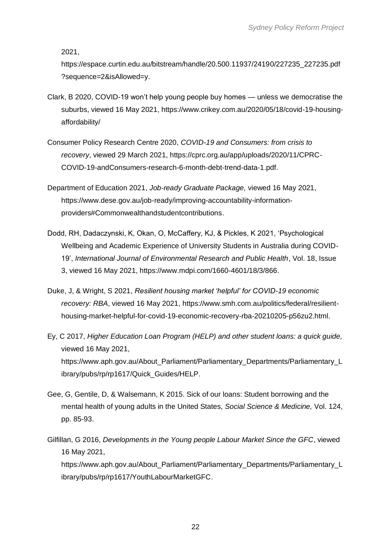2021,

[https://espace.curtin.edu.au/bitstream/handle/20.500.11937/24190/227235\\_227235.pdf](https://espace.curtin.edu.au/bitstream/handle/20.500.11937/24190/227235_227235.pdf?sequence=2&isAllowed=y) [?sequence=2&isAllowed=y.](https://espace.curtin.edu.au/bitstream/handle/20.500.11937/24190/227235_227235.pdf?sequence=2&isAllowed=y)

- Clark, B 2020, COVID-19 won't help young people buy homes unless we democratise the suburbs, viewed 16 May 2021[,](https://www.crikey.com.au/2020/05/18/covid-19-housing-affordability/) [https://www.crikey.com.au/2020/05/18/covid-19-housing](https://www.crikey.com.au/2020/05/18/covid-19-housing-affordability/)[affordability/](https://www.crikey.com.au/2020/05/18/covid-19-housing-affordability/)
- Consumer Policy Research Centre 2020, *COVID-19 and Consumers: from crisis to recovery*, viewed 29 March 2021[,](https://cprc.org.au/app/uploads/2020/11/CPRC-COVID-19-andConsumers-research-6-month-debt-trend-data-1.pdf) [https://cprc.org.au/app/uploads/2020/11/CPRC-](https://cprc.org.au/app/uploads/2020/11/CPRC-COVID-19-andConsumers-research-6-month-debt-trend-data-1.pdf)[COVID-19-andConsumers-research-6-month-debt-trend-data-1.pdf.](https://cprc.org.au/app/uploads/2020/11/CPRC-COVID-19-andConsumers-research-6-month-debt-trend-data-1.pdf)
- Department of Education 2021, *Job-ready Graduate Package,* viewed 16 May 2021[,](https://www.dese.gov.au/job-ready/improving-accountability-information-providers#Commonwealthandstudentcontributions) [https://www.dese.gov.au/job-ready/improving-accountability-information](https://www.dese.gov.au/job-ready/improving-accountability-information-providers#Commonwealthandstudentcontributions)[providers#Commonwealthandstudentcontributions.](https://www.dese.gov.au/job-ready/improving-accountability-information-providers#Commonwealthandstudentcontributions)
- Dodd, RH, Dadaczynski, K, Okan, O, McCaffery, KJ, & Pickles, K 2021, 'Psychological Wellbeing and Academic Experience of University Students in Australia during COVID-19', *International Journal of Environmental Research and Public Health*, Vol. 18, Issue 3, viewed 16 May 2021[,](https://www.mdpi.com/1660-4601/18/3/866) [https://www.mdpi.com/1660-4601/18/3/866.](https://www.mdpi.com/1660-4601/18/3/866)
- Duke, J, & Wright, S 2021, *Resilient housing market 'helpful' for COVID-19 economic recovery: RBA*, viewed 16 May 2021[,](https://www.smh.com.au/politics/federal/resilient-housing-market-helpful-for-covid-19-economic-recovery-rba-20210205-p56zu2.html) [https://www.smh.com.au/politics/federal/resilient](https://www.smh.com.au/politics/federal/resilient-housing-market-helpful-for-covid-19-economic-recovery-rba-20210205-p56zu2.html)[housing-market-helpful-for-covid-19-economic-recovery-rba-20210205-p56zu2.html.](https://www.smh.com.au/politics/federal/resilient-housing-market-helpful-for-covid-19-economic-recovery-rba-20210205-p56zu2.html)
- Ey, C 2017, *Higher Education Loan Program (HELP) and other student loans: a quick guide,*  viewed 16 May 2021[,](https://www.aph.gov.au/About_Parliament/Parliamentary_Departments/Parliamentary_Library/pubs/rp/rp1617/Quick_Guides/HELP) [https://www.aph.gov.au/About\\_Parliament/Parliamentary\\_Departments/Parliamentary\\_L](https://www.aph.gov.au/About_Parliament/Parliamentary_Departments/Parliamentary_Library/pubs/rp/rp1617/Quick_Guides/HELP) [ibrary/pubs/rp/rp1617/Quick\\_Guides/HELP.](https://www.aph.gov.au/About_Parliament/Parliamentary_Departments/Parliamentary_Library/pubs/rp/rp1617/Quick_Guides/HELP)
- Gee, G, Gentile, D, & Walsemann, K 2015. Sick of our loans: Student borrowing and the mental health of young adults in the United States, *Social Science & Medicine,* Vol. 124, pp. 85-93.
- Gilfillan, G 2016, *Developments in the Young people Labour Market Since the GFC*, viewed 16 May 2021, [https://www.aph.gov.au/About\\_Parliament/Parliamentary\\_Departments/Parliamentary\\_L](https://www.aph.gov.au/About_Parliament/Parliamentary_Departments/Parliamentary_Library/pubs/rp/rp1617/YouthLabourMarketGFC)

[ibrary/pubs/rp/rp1617/YouthLabourMarketGFC.](https://www.aph.gov.au/About_Parliament/Parliamentary_Departments/Parliamentary_Library/pubs/rp/rp1617/YouthLabourMarketGFC)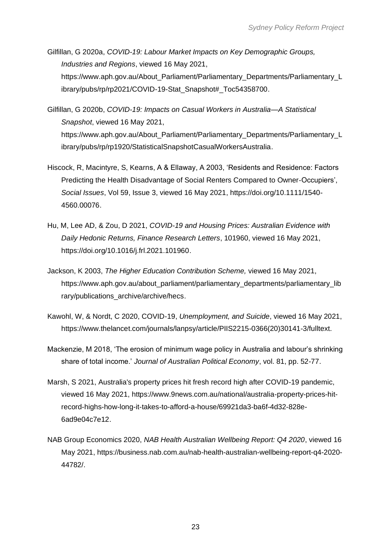Gilfillan, G 2020a, *COVID-19: Labour Market Impacts on Key Demographic Groups, Industries and Regions*, viewed 16 May 2021[,](https://www.aph.gov.au/About_Parliament/Parliamentary_Departments/Parliamentary_Library/pubs/rp/rp2021/COVID-19-Stat_Snapshot#_Toc54358700) [https://www.aph.gov.au/About\\_Parliament/Parliamentary\\_Departments/Parliamentary\\_L](https://www.aph.gov.au/About_Parliament/Parliamentary_Departments/Parliamentary_Library/pubs/rp/rp2021/COVID-19-Stat_Snapshot#_Toc54358700) [ibrary/pubs/rp/rp2021/COVID-19-Stat\\_Snapshot#\\_Toc54358700.](https://www.aph.gov.au/About_Parliament/Parliamentary_Departments/Parliamentary_Library/pubs/rp/rp2021/COVID-19-Stat_Snapshot#_Toc54358700)

- Gilfillan, G 2020b, *COVID-19: Impacts on Casual Workers in Australia—A Statistical Snapshot*, viewed 16 May 2021[,](https://www.aph.gov.au/About_Parliament/Parliamentary_Departments/Parliamentary_Library/pubs/rp/rp1920/StatisticalSnapshotCasualWorkersAustralia) [https://www.aph.gov.au/About\\_Parliament/Parliamentary\\_Departments/Parliamentary\\_L](https://www.aph.gov.au/About_Parliament/Parliamentary_Departments/Parliamentary_Library/pubs/rp/rp1920/StatisticalSnapshotCasualWorkersAustralia) [ibrary/pubs/rp/rp1920/StatisticalSnapshotCasualWorkersAustralia.](https://www.aph.gov.au/About_Parliament/Parliamentary_Departments/Parliamentary_Library/pubs/rp/rp1920/StatisticalSnapshotCasualWorkersAustralia)
- Hiscock, R, Macintyre, S, Kearns, A & Ellaway, A 2003, 'Residents and Residence: Factors Predicting the Health Disadvantage of Social Renters Compared to Owner‐Occupiers', *Social Issues*, Vol 59, Issue 3, viewed 16 May 2021[,](https://doi.org/10.1111/1540-4560.00076) [https://doi.org/10.1111/1540-](https://doi.org/10.1111/1540-4560.00076) [4560.00076.](https://doi.org/10.1111/1540-4560.00076)
- Hu, M, Lee AD, & Zou, D 2021, *COVID-19 and Housing Prices: Australian Evidence with Daily Hedonic Returns, Finance Research Letters*, 101960, viewed 16 May 2021[,](https://doi.org/10.1016/j.frl.2021.101960) [https://doi.org/10.1016/j.frl.2021.101960.](https://doi.org/10.1016/j.frl.2021.101960)
- Jackson, K 2003, *The Higher Education Contribution Scheme,* viewed 16 May 2021[,](https://www.aph.gov.au/about_parliament/parliamentary_departments/parliamentary_library/publications_archive/archive/hecs) [https://www.aph.gov.au/about\\_parliament/parliamentary\\_departments/parliamentary\\_lib](https://www.aph.gov.au/about_parliament/parliamentary_departments/parliamentary_library/publications_archive/archive/hecs) [rary/publications\\_archive/archive/hecs.](https://www.aph.gov.au/about_parliament/parliamentary_departments/parliamentary_library/publications_archive/archive/hecs)
- Kawohl, W, & Nordt, C 2020, COVID-19, *Unemployment, and Suicide*, viewed 16 May 2021[,](https://www.thelancet.com/journals/lanpsy/article/PIIS2215-0366(20)30141-3/fulltext) [https://www.thelancet.com/journals/lanpsy/article/PIIS2215-0366\(20\)30141-3/fulltext.](https://www.thelancet.com/journals/lanpsy/article/PIIS2215-0366(20)30141-3/fulltext)
- Mackenzie, M 2018, 'The erosion of minimum wage policy in Australia and labour's shrinking share of total income.' *Journal of Australian Political Economy*, vol. 81, pp. 52-77.
- Marsh, S 2021, Australia's property prices hit fresh record high after COVID-19 pandemic, viewed 16 May 2021[,](https://www.9news.com.au/national/australia-property-prices-hit-record-highs-how-long-it-takes-to-afford-a-house/69921da3-ba6f-4d32-828e-6ad9e04c7e12) [https://www.9news.com.au/national/australia-property-prices-hit](https://www.9news.com.au/national/australia-property-prices-hit-record-highs-how-long-it-takes-to-afford-a-house/69921da3-ba6f-4d32-828e-6ad9e04c7e12)[record-highs-how-long-it-takes-to-afford-a-house/69921da3-ba6f-4d32-828e-](https://www.9news.com.au/national/australia-property-prices-hit-record-highs-how-long-it-takes-to-afford-a-house/69921da3-ba6f-4d32-828e-6ad9e04c7e12)[6ad9e04c7e12.](https://www.9news.com.au/national/australia-property-prices-hit-record-highs-how-long-it-takes-to-afford-a-house/69921da3-ba6f-4d32-828e-6ad9e04c7e12)
- NAB Group Economics 2020, *NAB Health Australian Wellbeing Report: Q4 2020*, viewed 16 May 2021[,](https://business.nab.com.au/nab-health-australian-wellbeing-report-q4-2020-44782/) [https://business.nab.com.au/nab-health-australian-wellbeing-report-q4-2020-](https://business.nab.com.au/nab-health-australian-wellbeing-report-q4-2020-44782/) [44782/.](https://business.nab.com.au/nab-health-australian-wellbeing-report-q4-2020-44782/)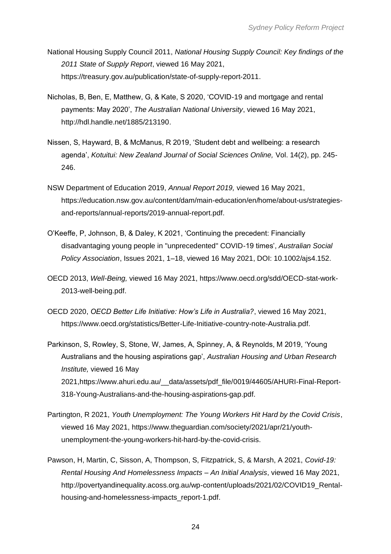- National Housing Supply Council 2011, *National Housing Supply Council: Key findings of the 2011 State of Supply Report*, viewed 16 May 2021[,](https://treasury.gov.au/publication/state-of-supply-report-2011) [https://treasury.gov.au/publication/state-of-supply-report-2011.](https://treasury.gov.au/publication/state-of-supply-report-2011)
- Nicholas, B, Ben, E, Matthew, G, & Kate, S 2020, 'COVID-19 and mortgage and rental payments: May 2020', *The Australian National University*, viewed 16 May 2021[,](http://hdl.handle.net/1885/213190) [http://hdl.handle.net/1885/213190.](http://hdl.handle.net/1885/213190)
- Nissen, S, Hayward, B, & McManus, R 2019, 'Student debt and wellbeing: a research agenda', *Kotuitui: New Zealand Journal of Social Sciences Online,* Vol. 14(2), pp. 245- 246.
- NSW Department of Education 2019, *Annual Report 2019,* viewed 16 May 2021, [https://education.nsw.gov.au/content/dam/main-education/en/home/about-us/strategies](https://education.nsw.gov.au/content/dam/main-education/en/home/about-us/strategies-and-reports/annual-reports/2019-annual-report.pdf)[and-reports/annual-reports/2019-annual-report.pdf.](https://education.nsw.gov.au/content/dam/main-education/en/home/about-us/strategies-and-reports/annual-reports/2019-annual-report.pdf)
- O'Keeffe, P, Johnson, B, & Daley, K 2021, 'Continuing the precedent: Financially disadvantaging young people in "unprecedented" COVID-19 times', *Australian Social Policy Association*, Issues 2021, 1–18, viewed 16 May 2021, DOI: 10.1002/ajs4.152.
- OECD 2013, *Well-Being,* viewed 16 May 2021[,](https://www.oecd.org/sdd/OECD-stat-work-2013-well-being.pdf) [https://www.oecd.org/sdd/OECD-stat-work-](https://www.oecd.org/sdd/OECD-stat-work-2013-well-being.pdf)[2013-well-being.pdf.](https://www.oecd.org/sdd/OECD-stat-work-2013-well-being.pdf)
- OECD 2020, *OECD Better Life Initiative: How's Life in Australia?*, viewed 16 May 2021[,](https://www.oecd.org/statistics/Better-Life-Initiative-country-note-Australia.pdf) [https://www.oecd.org/statistics/Better-Life-Initiative-country-note-Australia.pdf.](https://www.oecd.org/statistics/Better-Life-Initiative-country-note-Australia.pdf)
- Parkinson, S, Rowley, S, Stone, W, James, A, Spinney, A, & Reynolds, M 2019, 'Young Australians and the housing aspirations gap', *Australian Housing and Urban Research Institute,* viewed 16 May 2021[,https://www.ahuri.edu.au/\\_\\_data/assets/pdf\\_file/0019/44605/AHURI-Final-Report-](https://www.ahuri.edu.au/__data/assets/pdf_file/0019/44605/AHURI-Final-Report-318-Young-Australians-and-the-housing-aspirations-gap.pdf)[318-Young-Australians-and-the-housing-aspirations-gap.pdf.](https://www.ahuri.edu.au/__data/assets/pdf_file/0019/44605/AHURI-Final-Report-318-Young-Australians-and-the-housing-aspirations-gap.pdf)
- Partington, R 2021, *Youth Unemployment: The Young Workers Hit Hard by the Covid Crisis*, viewed 16 May 2021[,](https://www.theguardian.com/society/2021/apr/21/youth-unemployment-the-young-workers-hit-hard-by-the-covid-crisis) [https://www.theguardian.com/society/2021/apr/21/youth](https://www.theguardian.com/society/2021/apr/21/youth-unemployment-the-young-workers-hit-hard-by-the-covid-crisis)[unemployment-the-young-workers-hit-hard-by-the-covid-crisis.](https://www.theguardian.com/society/2021/apr/21/youth-unemployment-the-young-workers-hit-hard-by-the-covid-crisis)
- Pawson, H, Martin, C, Sisson, A, Thompson, S, Fitzpatrick, S, & Marsh, A 2021, *Covid-19: Rental Housing And Homelessness Impacts – An Initial Analysis*, viewed 16 May 2021[,](http://povertyandinequality.acoss.org.au/wp-content/uploads/2021/02/COVID19_Rental-housing-and-homelessness-impacts_report-1.pdf) [http://povertyandinequality.acoss.org.au/wp-content/uploads/2021/02/COVID19\\_Rental](http://povertyandinequality.acoss.org.au/wp-content/uploads/2021/02/COVID19_Rental-housing-and-homelessness-impacts_report-1.pdf)[housing-and-homelessness-impacts\\_report-1.pdf.](http://povertyandinequality.acoss.org.au/wp-content/uploads/2021/02/COVID19_Rental-housing-and-homelessness-impacts_report-1.pdf)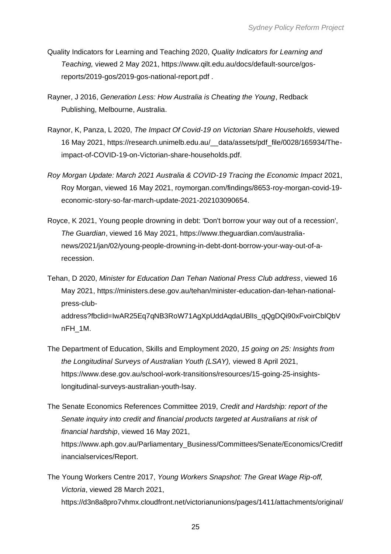- Quality Indicators for Learning and Teaching 2020, *Quality Indicators for Learning and Teaching,* viewed 2 May 2021[,](https://www.qilt.edu.au/docs/default-source/gos-reports/2019-gos/2019-gos-national-report.pdf) [https://www.qilt.edu.au/docs/default-source/gos](https://www.qilt.edu.au/docs/default-source/gos-reports/2019-gos/2019-gos-national-report.pdf)[reports/2019-gos/2019-gos-national-report.pdf](https://www.qilt.edu.au/docs/default-source/gos-reports/2019-gos/2019-gos-national-report.pdf) .
- Rayner, J 2016, *Generation Less: How Australia is Cheating the Young*, Redback Publishing, Melbourne, Australia.
- Raynor, K, Panza, L 2020, *The Impact Of Covid-19 on Victorian Share Households*, viewed 16 May 2021[,](https://research.unimelb.edu.au/__data/assets/pdf_file/0028/165934/The-impact-of-COVID-19-on-Victorian-share-households.pdf) [https://research.unimelb.edu.au/\\_\\_data/assets/pdf\\_file/0028/165934/The](https://research.unimelb.edu.au/__data/assets/pdf_file/0028/165934/The-impact-of-COVID-19-on-Victorian-share-households.pdf)[impact-of-COVID-19-on-Victorian-share-households.pdf.](https://research.unimelb.edu.au/__data/assets/pdf_file/0028/165934/The-impact-of-COVID-19-on-Victorian-share-households.pdf)
- *Roy Morgan Update: March 2021 Australia & COVID-19 Tracing the Economic Impact* 2021, Roy Morgan, viewed 16 May 2021, roymorgan.com/findings/8653-roy-morgan-covid-19 economic-story-so-far-march-update-2021-202103090654.
- Royce, K 2021, Young people drowning in debt: 'Don't borrow your way out of a recession', *The Guardian*, viewed 16 May 2021, [https://www.theguardian.com/australia](https://www.theguardian.com/australia-news/2021/jan/02/young-people-drowning-in-debt-dont-borrow-your-way-out-of-a-recession)[news/2021/jan/02/young-people-drowning-in-debt-dont-borrow-your-way-out-of-a](https://www.theguardian.com/australia-news/2021/jan/02/young-people-drowning-in-debt-dont-borrow-your-way-out-of-a-recession)[recession.](https://www.theguardian.com/australia-news/2021/jan/02/young-people-drowning-in-debt-dont-borrow-your-way-out-of-a-recession)
- Tehan, D 2020, *Minister for Education Dan Tehan National Press Club address*, viewed 16 May 2021[,](https://ministers.dese.gov.au/tehan/minister-education-dan-tehan-national-press-club-address?fbclid=IwAR25Eq7qNB3RoW71AgXpUddAqdaUBlIs_qQgDQi90xFvoirCblQbVnFH_1M) [https://ministers.dese.gov.au/tehan/minister-education-dan-tehan-national](https://ministers.dese.gov.au/tehan/minister-education-dan-tehan-national-press-club-address?fbclid=IwAR25Eq7qNB3RoW71AgXpUddAqdaUBlIs_qQgDQi90xFvoirCblQbVnFH_1M)[press-club](https://ministers.dese.gov.au/tehan/minister-education-dan-tehan-national-press-club-address?fbclid=IwAR25Eq7qNB3RoW71AgXpUddAqdaUBlIs_qQgDQi90xFvoirCblQbVnFH_1M)[address?fbclid=IwAR25Eq7qNB3RoW71AgXpUddAqdaUBlIs\\_qQgDQi90xFvoirCblQbV](https://ministers.dese.gov.au/tehan/minister-education-dan-tehan-national-press-club-address?fbclid=IwAR25Eq7qNB3RoW71AgXpUddAqdaUBlIs_qQgDQi90xFvoirCblQbVnFH_1M) [nFH\\_1M.](https://ministers.dese.gov.au/tehan/minister-education-dan-tehan-national-press-club-address?fbclid=IwAR25Eq7qNB3RoW71AgXpUddAqdaUBlIs_qQgDQi90xFvoirCblQbVnFH_1M)
- The Department of Education, Skills and Employment 2020, *15 going on 25: Insights from the Longitudinal Surveys of Australian Youth (LSAY),* viewed 8 April 2021[,](https://www.dese.gov.au/school-work-transitions/resources/15-going-25-insights-longitudinal-surveys-australian-youth-lsay) [https://www.dese.gov.au/school-work-transitions/resources/15-going-25-insights](https://www.dese.gov.au/school-work-transitions/resources/15-going-25-insights-longitudinal-surveys-australian-youth-lsay)[longitudinal-surveys-australian-youth-lsay.](https://www.dese.gov.au/school-work-transitions/resources/15-going-25-insights-longitudinal-surveys-australian-youth-lsay)
- The Senate Economics References Committee 2019, *Credit and Hardship: report of the Senate inquiry into credit and financial products targeted at Australians at risk of financial hardship*, viewed 16 May 2021[,](https://www.aph.gov.au/Parliamentary_Business/Committees/Senate/Economics/Creditfinancialservices/Report) [https://www.aph.gov.au/Parliamentary\\_Business/Committees/Senate/Economics/Creditf](https://www.aph.gov.au/Parliamentary_Business/Committees/Senate/Economics/Creditfinancialservices/Report) [inancialservices/Report.](https://www.aph.gov.au/Parliamentary_Business/Committees/Senate/Economics/Creditfinancialservices/Report)
- The Young Workers Centre 2017, *Young Workers Snapshot: The Great Wage Rip-off, Victoria*, viewed 28 March 2021[,](https://d3n8a8pro7vhmx.cloudfront.net/victorianunions/pages/1411/attachments/original/1493954358/Young_Workers_Snapshot_The_Great_Wage_Ripoff_final.pdf?1493954358) [https://d3n8a8pro7vhmx.cloudfront.net/victorianunions/pages/1411/attachments/original/](https://d3n8a8pro7vhmx.cloudfront.net/victorianunions/pages/1411/attachments/original/1493954358/Young_Workers_Snapshot_The_Great_Wage_Ripoff_final.pdf?1493954358)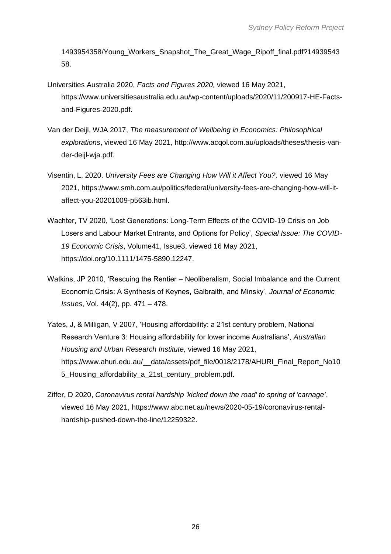[1493954358/Young\\_Workers\\_Snapshot\\_The\\_Great\\_Wage\\_Ripoff\\_final.pdf?14939543](https://d3n8a8pro7vhmx.cloudfront.net/victorianunions/pages/1411/attachments/original/1493954358/Young_Workers_Snapshot_The_Great_Wage_Ripoff_final.pdf?1493954358) [58.](https://d3n8a8pro7vhmx.cloudfront.net/victorianunions/pages/1411/attachments/original/1493954358/Young_Workers_Snapshot_The_Great_Wage_Ripoff_final.pdf?1493954358)

- Universities Australia 2020, *Facts and Figures 2020,* viewed 16 May 2021[,](https://www.universitiesaustralia.edu.au/wp-content/uploads/2020/11/200917-HE-Facts-and-Figures-2020.pdf) [https://www.universitiesaustralia.edu.au/wp-content/uploads/2020/11/200917-HE-Facts](https://www.universitiesaustralia.edu.au/wp-content/uploads/2020/11/200917-HE-Facts-and-Figures-2020.pdf)[and-Figures-2020.pdf.](https://www.universitiesaustralia.edu.au/wp-content/uploads/2020/11/200917-HE-Facts-and-Figures-2020.pdf)
- Van der Deijl, WJA 2017, *The measurement of Wellbeing in Economics: Philosophical explorations*, viewed 16 May 2021, [http://www.acqol.com.au/uploads/theses/thesis-van](http://www.acqol.com.au/uploads/theses/thesis-van-der-deijl-wja.pdf)[der-deijl-wja.pdf.](http://www.acqol.com.au/uploads/theses/thesis-van-der-deijl-wja.pdf)
- Visentin, L, 2020. *University Fees are Changing How Will it Affect You?,* viewed 16 May 2021[,](https://www.smh.com.au/politics/federal/university-fees-are-changing-how-will-it-affect-you-20201009-p563ib.html) [https://www.smh.com.au/politics/federal/university-fees-are-changing-how-will-it](https://www.smh.com.au/politics/federal/university-fees-are-changing-how-will-it-affect-you-20201009-p563ib.html)[affect-you-20201009-p563ib.html.](https://www.smh.com.au/politics/federal/university-fees-are-changing-how-will-it-affect-you-20201009-p563ib.html)
- Wachter, TV 2020, 'Lost Generations: Long‐Term Effects of the COVID‐19 Crisis on Job Losers and Labour Market Entrants, and Options for Policy', *Special Issue: The COVID*‐ *19 Economic Crisis*, Volume41, Issue3, viewed 16 May 2021[,](https://doi.org/10.1111/1475-5890.12247) [https://doi.org/10.1111/1475-5890.12247.](https://doi.org/10.1111/1475-5890.12247)
- Watkins, JP 2010, 'Rescuing the Rentier Neoliberalism, Social Imbalance and the Current Economic Crisis: A Synthesis of Keynes, Galbraith, and Minsky', *Journal of Economic Issues*, Vol. 44(2), pp. 471 – 478.
- Yates, J, & Milligan, V 2007, 'Housing affordability: a 21st century problem, National Research Venture 3: Housing affordability for lower income Australians', *Australian Housing and Urban Research Institute,* viewed 16 May 2021, [https://www.ahuri.edu.au/\\_\\_data/assets/pdf\\_file/0018/2178/AHURI\\_Final\\_Report\\_No10](https://www.ahuri.edu.au/__data/assets/pdf_file/0018/2178/AHURI_Final_Report_No105_Housing_affordability_a_21st_century_problem.pdf) 5 Housing affordability a 21st century problem.pdf.
- Ziffer, D 2020, *Coronavirus rental hardship 'kicked down the road' to spring of 'carnage'*, viewed 16 May 2021[,](https://www.abc.net.au/news/2020-05-19/coronavirus-rental-hardship-pushed-down-the-line/12259322) [https://www.abc.net.au/news/2020-05-19/coronavirus-rental](https://www.abc.net.au/news/2020-05-19/coronavirus-rental-hardship-pushed-down-the-line/12259322)[hardship-pushed-down-the-line/12259322.](https://www.abc.net.au/news/2020-05-19/coronavirus-rental-hardship-pushed-down-the-line/12259322)